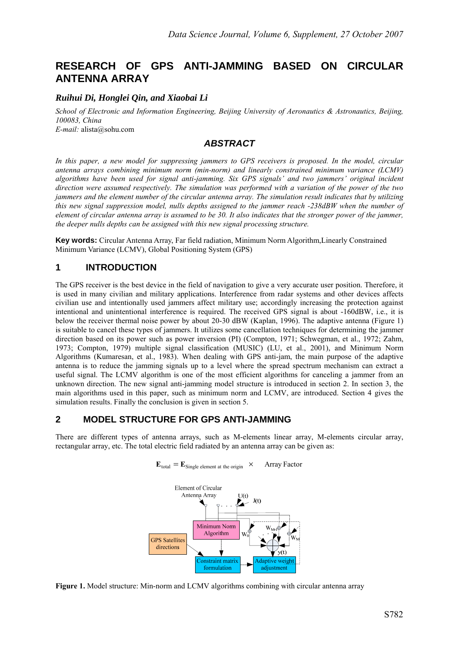# **RESEARCH OF GPS ANTI-JAMMING BASED ON CIRCULAR ANTENNA ARRAY**

### *Ruihui Di, Honglei Qin, and Xiaobai Li*

*School of Electronic and Information Engineering, Beijing University of Aeronautics & Astronautics, Beijing, 100083, China E-mail:* alista@sohu.com

### *ABSTRACT*

*In this paper, a new model for suppressing jammers to GPS receivers is proposed. In the model, circular antenna arrays combining minimum norm (min-norm) and linearly constrained minimum variance (LCMV) algorithms have been used for signal anti-jamming. Six GPS signals' and two jammers' original incident direction were assumed respectively. The simulation was performed with a variation of the power of the two jammers and the element number of the circular antenna array. The simulation result indicates that by utilizing this new signal suppression model, nulls depths assigned to the jammer reach -238dBW when the number of element of circular antenna array is assumed to be 30. It also indicates that the stronger power of the jammer, the deeper nulls depths can be assigned with this new signal processing structure.* 

**Key words:** Circular Antenna Array, Far field radiation, Minimum Norm Algorithm,Linearly Constrained Minimum Variance (LCMV), Global Positioning System (GPS)

# **1 INTRODUCTION**

The GPS receiver is the best device in the field of navigation to give a very accurate user position. Therefore, it is used in many civilian and military applications. Interference from radar systems and other devices affects civilian use and intentionally used jammers affect military use; accordingly increasing the protection against intentional and unintentional interference is required. The received GPS signal is about -160dBW, i.e., it is below the receiver thermal noise power by about 20-30 dBW (Kaplan, 1996). The adaptive antenna (Figure 1) is suitable to cancel these types of jammers. It utilizes some cancellation techniques for determining the jammer direction based on its power such as power inversion (PI) (Compton, 1971; Schwegman, et al., 1972; Zahm, 1973; Compton, 1979) multiple signal classification (MUSIC) (LU, et al., 2001), and Minimum Norm Algorithms (Kumaresan, et al., 1983). When dealing with GPS anti-jam, the main purpose of the adaptive antenna is to reduce the jamming signals up to a level where the spread spectrum mechanism can extract a useful signal. The LCMV algorithm is one of the most efficient algorithms for canceling a jammer from an unknown direction. The new signal anti-jamming model structure is introduced in section 2. In section 3, the main algorithms used in this paper, such as minimum norm and LCMV, are introduced. Section 4 gives the simulation results. Finally the conclusion is given in section 5.

# **2 MODEL STRUCTURE FOR GPS ANTI-JAMMING**

There are different types of antenna arrays, such as M-elements linear array, M-elements circular array, rectangular array, etc. The total electric field radiated by an antenna array can be given as:





**Figure 1.** Model structure: Min-norm and LCMV algorithms combining with circular antenna array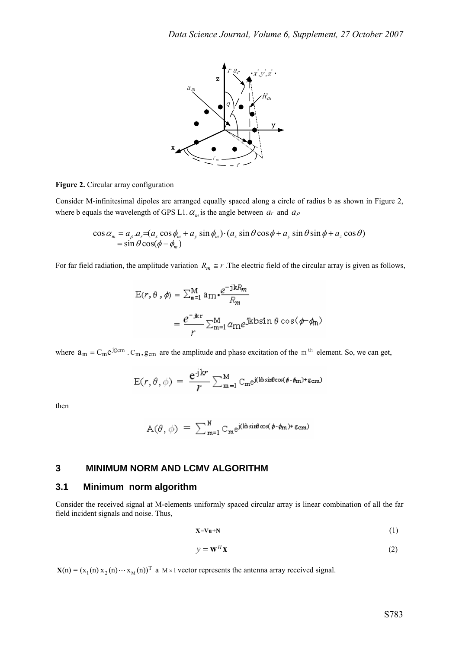

**Figure 2.** Circular array configuration

Consider M-infinitesimal dipoles are arranged equally spaced along a circle of radius b as shown in Figure 2, where b equals the wavelength of GPS L1.  $\alpha_m$  is the angle between  $a_r$  and  $a_\rho$ 

$$
\cos \alpha_m = a_\rho . a_r = (a_x \cos \phi_m + a_y \sin \phi_m) \cdot (a_x \sin \theta \cos \phi + a_y \sin \theta \sin \phi + a_z \cos \theta)
$$
  
=  $\sin \theta \cos(\phi - \phi_m)$ 

For far field radiation, the amplitude variation  $R_m \cong r$ . The electric field of the circular array is given as follows,

$$
E(r, \theta, \phi) = \sum_{m=1}^{M} a_m \cdot \frac{e^{-jkR_m}}{R_m}
$$

$$
= \frac{e^{-jkr}}{r} \sum_{m=1}^{M} a_m e^{jkbsin \theta \cos(\phi - \phi_m)}
$$

where  $a_m = C_m e^{jg_c m}$ .  $C_m$ ,  $g_{cm}$  are the amplitude and phase excitation of the m<sup>th</sup> element. So, we can get,

$$
E(r, \theta, \phi) = \frac{e^{jkr}}{r} \sum_{m=1}^{M} C_m e^{j(lbsin\theta cos(\phi - \phi_m) + g_{cm})}
$$

then

$$
A(\theta, \phi) = \sum_{m=1}^{N} C_m e^{j(k \sin \theta \cos(\phi - \phi_m) + \epsilon_{cm})}
$$

### **3 MINIMUM NORM AND LCMV ALGORITHM**

#### **3.1 Minimum norm algorithm**

Consider the received signal at M-elements uniformly spaced circular array is linear combination of all the far field incident signals and noise. Thus,

$$
X=Vu+N
$$
 (1)

$$
y = \mathbf{w}^H \mathbf{x} \tag{2}
$$

 $X(n) = (x_1(n) x_2(n) \cdots x_M(n))^T$  a M × 1 vector represents the antenna array received signal.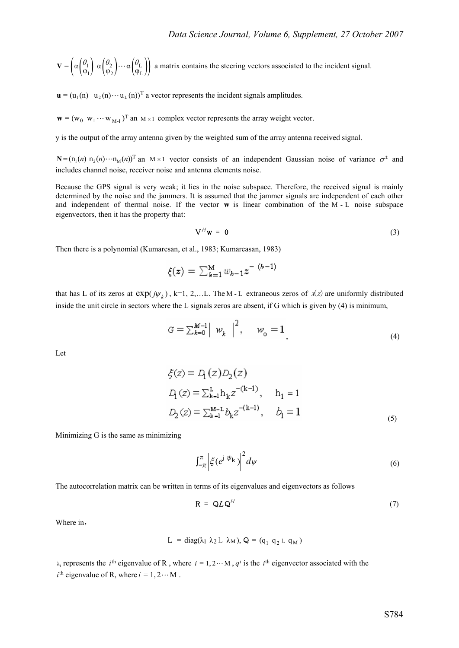$$
\mathbf{V} = \left( \alpha \begin{pmatrix} \theta_1 \\ \phi_1 \end{pmatrix} \alpha \begin{pmatrix} \theta_2 \\ \phi_2 \end{pmatrix} \cdots \alpha \begin{pmatrix} \theta_L \\ \phi_L \end{pmatrix} \right)
$$
 a matrix contains the steering vectors associated to the incident signal.

 $\mathbf{u} = (u_1(n) \quad u_2(n) \cdots u_L(n))^T$  a vector represents the incident signals amplitudes.

 $\mathbf{w} = (w_0 \ w_1 \cdots w_{M-1})^T$  an  $M \times 1$  complex vector represents the array weight vector.

y is the output of the array antenna given by the weighted sum of the array antenna received signal.

 $N = (n_1(n) n_2(n) \cdots n_M(n))^T$  an  $M \times 1$  vector consists of an independent Gaussian noise of variance  $\sigma^2$  and includes channel noise, receiver noise and antenna elements noise.

Because the GPS signal is very weak; it lies in the noise subspace. Therefore, the received signal is mainly determined by the noise and the jammers. It is assumed that the jammer signals are independent of each other and independent of thermal noise. If the vector **w** is linear combination of the M-L noise subspace eigenvectors, then it has the property that:

$$
V^H w = 0 \tag{3}
$$

Then there is a polynomial (Kumaresan, et al., 1983; Kumareasan, 1983)

$$
\xi(z) = \sum_{k=1}^{M} w_{k-1} z^{-(k-1)}
$$

that has L of its zeros at  $exp(j\psi_k)$ , k=1, 2,...L. The M-L extraneous zeros of  $x(z)$  are uniformly distributed inside the unit circle in sectors where the L signals zeros are absent, if G which is given by (4) is minimum,

$$
G = \sum_{k=0}^{M-1} \left| \begin{array}{cc} w_k \end{array} \right|^2, \quad w_o = 1 \tag{4}
$$

Let

$$
\xi(z) = D_1(z)D_2(z)
$$
  
\n
$$
D_1(z) = \sum_{k=1}^{L} h_k z^{-(k-1)}, \quad h_1 = 1
$$
  
\n
$$
D_2(z) = \sum_{k=1}^{M-L} b_k z^{-(k-1)}, \quad b_1 = 1
$$
 (5)

Minimizing G is the same as minimizing

$$
\int_{-\pi}^{\pi} \left| \xi(e^{j\psi_k}) \right|^2 d\psi \tag{6}
$$

The autocorrelation matrix can be written in terms of its eigenvalues and eigenvectors as follows

$$
\mathbf{R} = \mathbf{Q}L\mathbf{Q}^H \tag{7}
$$

Where in,

$$
L = diag(\lambda_1 \lambda_2 L \lambda_M), Q = (q_1 q_2 L q_M)
$$

 $\lambda_i$  represents the *i*<sup>th</sup> eigenvalue of R, where  $i = 1, 2 \cdots M$ ,  $q^i$  is the *i*<sup>th</sup> eigenvector associated with the  $i^{\text{th}}$  eigenvalue of R, where  $i = 1, 2 \cdots M$ .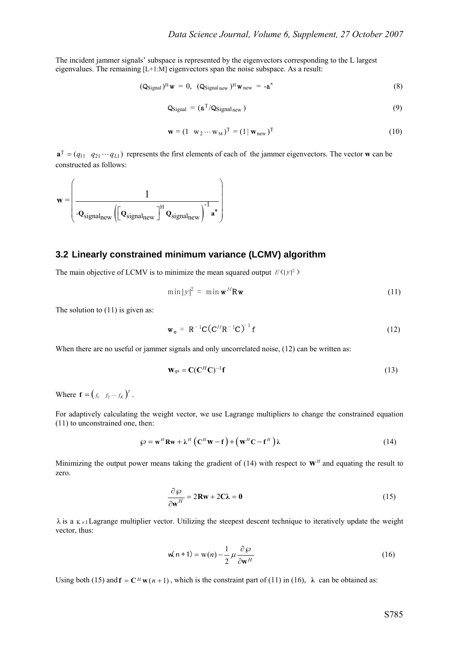The incident jammer signals' subspace is represented by the eigenvectors corresponding to the L largest eigenvalues. The remaining [L+1:M] eigenvectors span the noise subspace. As a result:

$$
(\mathbf{Q}_{\text{Signal}})^{\text{H}} \mathbf{w} = 0, \ (\mathbf{Q}_{\text{Signal new}})^{\text{H}} \mathbf{w}_{\text{new}} = -\mathbf{a}^*
$$
(8)

$$
Q_{\text{Signal}} = (a^T / Q_{\text{Signal new}})
$$
\n(9)

$$
\mathbf{w} = (1 \ \mathbf{w}_2 \cdots \mathbf{w}_M)^T = (1 \mid \mathbf{w}_{new})^T
$$
 (10)

 $\mathbf{a}^T = (q_{11} \ q_{21} \cdots q_{L1})$  represents the first elements of each of the jammer eigenvectors. The vector **w** can be constructed as follows:

$$
\mathbf{w} = \left(\frac{1}{-\mathbf{Q}_{signal_{new}}\left(\left[\mathbf{Q}_{signal_{new}}\right]^{\mathrm{H}}\mathbf{Q}_{signal_{new}}\right)^{-1}\mathbf{a}^{*}}\right)
$$

### **3.2 Linearly constrained minimum variance (LCMV) algorithm**

The main objective of LCMV is to minimize the mean squared output  $E(|y|^2)$ 

$$
\min |y|^2 = \min \mathbf{w}^H \mathbf{R} \mathbf{w} \tag{11}
$$

The solution to  $(11)$  is given as:

$$
\mathbf{w}_o = \mathbf{R}^{-1} \mathbf{C} \left( \mathbf{C}^H \mathbf{R}^{-1} \mathbf{C} \right)^{-1} \mathbf{f}
$$
 (12)

When there are no useful or jammer signals and only uncorrelated noise, (12) can be written as:

$$
\mathbf{W}_{q\text{s}} = \mathbf{C}(\mathbf{C}^H \mathbf{C})^{-1} \mathbf{f} \tag{13}
$$

Where  $\mathbf{f} = \begin{pmatrix} f_1 & f_2 & \cdots & f_K \end{pmatrix}^T$ .

For adaptively calculating the weight vector, we use Lagrange multipliers to change the constrained equation (11) to unconstrained one, then:

$$
\wp = \mathbf{w}^H \mathbf{R} \mathbf{w} + \boldsymbol{\lambda}^H \left( \mathbf{C}^H \mathbf{w} - \mathbf{f} \right) + \left( \mathbf{w}^H \mathbf{C} - \mathbf{f}^H \right) \boldsymbol{\lambda} \tag{14}
$$

Minimizing the output power means taking the gradient of (14) with respect to  $\mathbf{w}^H$  and equating the result to zero.

$$
\frac{\partial \wp}{\partial \mathbf{w}^H} = 2\mathbf{R}\mathbf{w} + 2\mathbf{C}\boldsymbol{\lambda} = \mathbf{0}
$$
 (15)

 $\lambda$  is a K  $\times$  Lagrange multiplier vector. Utilizing the steepest descent technique to iteratively update the weight vector, thus:

$$
w(n+1) = w(n) - \frac{1}{2} \mu \frac{\partial \wp}{\partial w^H}
$$
 (16)

Using both (15) and  $f = C^H w(n+1)$ , which is the constraint part of (11) in (16),  $\lambda$  can be obtained as: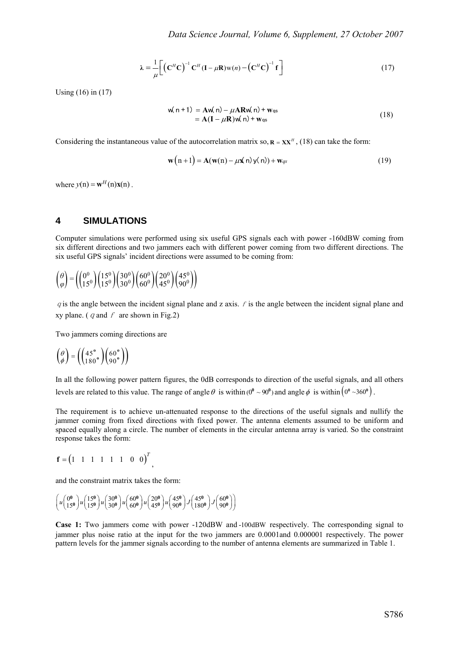$$
\lambda = \frac{1}{\mu} \left[ \left( \mathbf{C}^H \mathbf{C} \right)^{-1} \mathbf{C}^H (\mathbf{I} - \mu \mathbf{R}) \mathbf{w}(n) - \left( \mathbf{C}^H \mathbf{C} \right)^{-1} \mathbf{f} \right]
$$
(17)

Using (16) in (17)

$$
w(n+1) = Aw(n) - \mu ARw(n) + w_{qs}
$$
  
= A(I - \mu R)w(n) + w\_{qs} (18)

Considering the instantaneous value of the autocorrelation matrix so,  $\mathbf{R} = \mathbf{X}\mathbf{X}^H$ , (18) can take the form:

$$
\mathbf{w}(n+1) = \mathbf{A}(\mathbf{w}(n) - \mu \mathbf{x}(n)\mathbf{y}(n)) + \mathbf{w}_{qs}
$$
(19)

where  $v(n) = \mathbf{w}^H(n) \mathbf{x}(n)$ .

#### **4 SIMULATIONS**

Computer simulations were performed using six useful GPS signals each with power -160dBW coming from six different directions and two jammers each with different power coming from two different directions. The six useful GPS signals' incident directions were assumed to be coming from:

$$
\begin{pmatrix} \theta \\ \varphi \end{pmatrix} = \left( \begin{pmatrix} 0^0 \\ 15^0 \end{pmatrix} \begin{pmatrix} 15^0 \\ 15^0 \end{pmatrix} \begin{pmatrix} 30^0 \\ 30^0 \end{pmatrix} \begin{pmatrix} 60^0 \\ 60^0 \end{pmatrix} \begin{pmatrix} 20^0 \\ 45^0 \end{pmatrix} \begin{pmatrix} 45^0 \\ 90^0 \end{pmatrix} \right)
$$

q is the angle between the incident signal plane and z axis.  $f$  is the angle between the incident signal plane and xy plane. ( $q$  and  $f$  are shown in Fig.2)

Two jammers coming directions are

$$
\begin{pmatrix} \theta \\ \phi \end{pmatrix} = \left( \begin{pmatrix} 45^{\circ} \\ 180^{\circ} \end{pmatrix} \begin{pmatrix} 60^{\circ} \\ 90^{\circ} \end{pmatrix} \right)
$$

In all the following power pattern figures, the 0dB corresponds to direction of the useful signals, and all others levels are related to this value. The range of angle  $\theta$  is within  $(0^0 \sim 90^0)$  and angle  $\phi$  is within  $(0^0 \sim 360^0)$ .

The requirement is to achieve un-attenuated response to the directions of the useful signals and nullify the jammer coming from fixed directions with fixed power. The antenna elements assumed to be uniform and spaced equally along a circle. The number of elements in the circular antenna array is varied. So the constraint response takes the form:

$$
\mathbf{f} = (1 \quad 1 \quad 1 \quad 1 \quad 1 \quad 1 \quad 0 \quad 0)^T
$$

and the constraint matrix takes the form:

$$
\left(u\begin{pmatrix} 0 & 0 \\ 15^{0} & 0 \end{pmatrix} u\begin{pmatrix} 15^{0} \\ 15^{0} & 0 \end{pmatrix} u\begin{pmatrix} 30^{0} \\ 30^{0} & 0 \end{pmatrix} u\begin{pmatrix} 60^{0} \\ 60^{0} & 0 \end{pmatrix} u\begin{pmatrix} 20^{0} \\ 45^{0} & 0 \end{pmatrix} u\begin{pmatrix} 45^{0} \\ 90^{0} & 0 \end{pmatrix} J\begin{pmatrix} 60^{0} \\ 90^{0} & 0 \end{pmatrix} \right)
$$

**Case 1:** Two jammers come with power -120dBW and -100dBW respectively. The corresponding signal to jammer plus noise ratio at the input for the two jammers are 0.0001and 0.000001 respectively. The power pattern levels for the jammer signals according to the number of antenna elements are summarized in Table 1.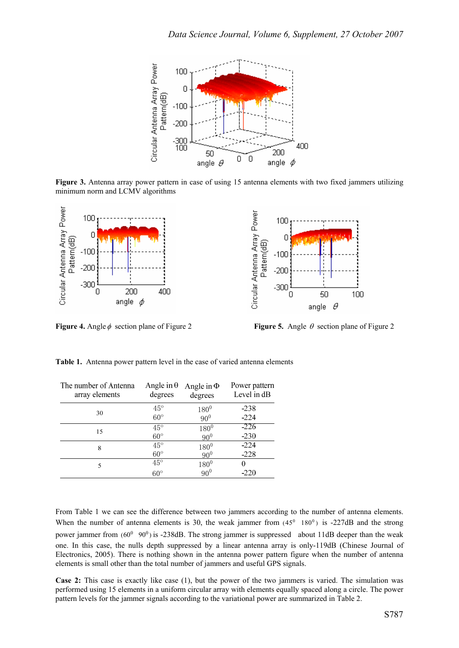

**Figure 3.** Antenna array power pattern in case of using 15 antenna elements with two fixed jammers utilizing minimum norm and LCMV algorithms



**Figure 4.** Angleφ section plane of Figure 2 **Figure 5.** Angle θ section plane of Figure 2

| The number of Antenna<br>array elements | Angle in $\theta$<br>degrees | Angle in $\Phi$<br>degrees | Power pattern<br>Level in dB |
|-----------------------------------------|------------------------------|----------------------------|------------------------------|
| 30                                      | $45^{\circ}$                 | $180^{0}$                  | $-238$                       |
|                                         | $60^\circ$                   | $90^{0}$                   | $-224$                       |
| 15                                      | $45^{\circ}$                 | $180^{0}$                  | $-226$                       |
|                                         | $60^\circ$                   | 90 <sup>0</sup>            | $-230$                       |
| 8                                       | $45^{\circ}$                 | $180^{0}$                  | $-224$                       |
|                                         | $60^\circ$                   | $90^{0}$                   | $-228$                       |
| 5                                       | $45^{\circ}$                 | $180^{0}$                  |                              |
|                                         | $60^\circ$                   | $90^{0}$                   | -220                         |

**Table 1.** Antenna power pattern level in the case of varied antenna elements

From Table 1 we can see the difference between two jammers according to the number of antenna elements. When the number of antenna elements is 30, the weak jammer from  $(45^{\circ} \quad 180^{\circ})$  is -227dB and the strong power jammer from  $(60^0 \t 90^0)$  is -238dB. The strong jammer is suppressed about 11dB deeper than the weak one. In this case, the nulls depth suppressed by a linear antenna array is only-119dB (Chinese Journal of Electronics, 2005). There is nothing shown in the antenna power pattern figure when the number of antenna elements is small other than the total number of jammers and useful GPS signals.

**Case 2:** This case is exactly like case (1), but the power of the two jammers is varied. The simulation was performed using 15 elements in a uniform circular array with elements equally spaced along a circle. The power pattern levels for the jammer signals according to the variational power are summarized in Table 2.